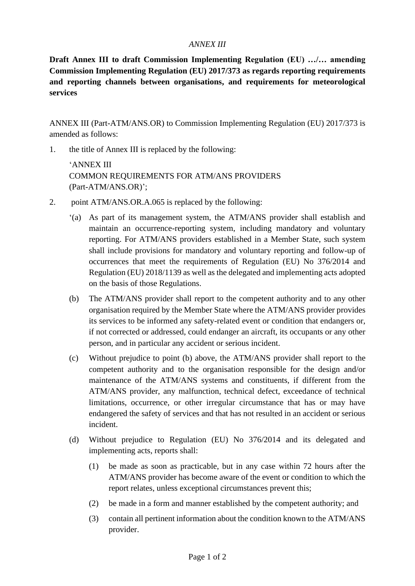## *ANNEX III*

**Draft Annex III to draft Commission Implementing Regulation (EU) …/… amending Commission Implementing Regulation (EU) 2017/373 as regards reporting requirements and reporting channels between organisations, and requirements for meteorological services**

ANNEX III (Part-ATM/ANS.OR) to Commission Implementing Regulation (EU) 2017/373 is amended as follows:

1. the title of Annex III is replaced by the following:

'ANNEX III COMMON REQUIREMENTS FOR ATM/ANS PROVIDERS (Part-ATM/ANS.OR)';

- 2. point ATM/ANS.OR.A.065 is replaced by the following:
	- '(a) As part of its management system, the ATM/ANS provider shall establish and maintain an occurrence-reporting system, including mandatory and voluntary reporting. For ATM/ANS providers established in a Member State, such system shall include provisions for mandatory and voluntary reporting and follow-up of occurrences that meet the requirements of Regulation (EU) No 376/2014 and Regulation (EU) 2018/1139 as well as the delegated and implementing acts adopted on the basis of those Regulations.
	- (b) The ATM/ANS provider shall report to the competent authority and to any other organisation required by the Member State where the ATM/ANS provider provides its services to be informed any safety-related event or condition that endangers or, if not corrected or addressed, could endanger an aircraft, its occupants or any other person, and in particular any accident or serious incident.
	- (c) Without prejudice to point (b) above, the ATM/ANS provider shall report to the competent authority and to the organisation responsible for the design and/or maintenance of the ATM/ANS systems and constituents, if different from the ATM/ANS provider, any malfunction, technical defect, exceedance of technical limitations, occurrence, or other irregular circumstance that has or may have endangered the safety of services and that has not resulted in an accident or serious incident.
	- (d) Without prejudice to Regulation (EU) No 376/2014 and its delegated and implementing acts, reports shall:
		- (1) be made as soon as practicable, but in any case within 72 hours after the ATM/ANS provider has become aware of the event or condition to which the report relates, unless exceptional circumstances prevent this;
		- (2) be made in a form and manner established by the competent authority; and
		- (3) contain all pertinent information about the condition known to the ATM/ANS provider.